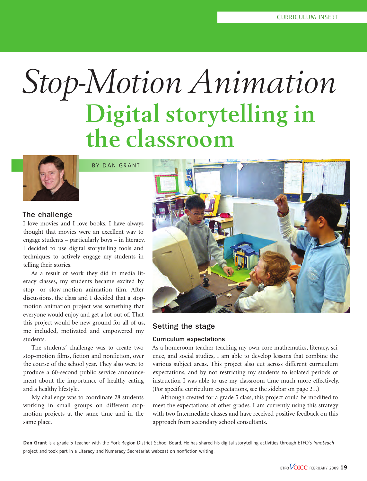# *Stop-Motion Animation* **Digital storytelling in the classroom**



BY DAN GRANT

## The challenge

I love movies and I love books. I have always thought that movies were an excellent way to engage students – particularly boys – in literacy. I decided to use digital storytelling tools and techniques to actively engage my students in telling their stories.

As a result of work they did in media literacy classes, my students became excited by stop- or slow-motion animation film. After discussions, the class and I decided that a stopmotion animation project was something that everyone would enjoy and get a lot out of. That this project would be new ground for all of us, me included, motivated and empowered my students.

The students' challenge was to create two stop-motion films, fiction and nonfiction, over the course of the school year. They also were to produce a 60-second public service announcement about the importance of healthy eating and a healthy lifestyle.

My challenge was to coordinate 28 students working in small groups on different stopmotion projects at the same time and in the same place.



# Setting the stage

#### Curriculum expectations

As a homeroom teacher teaching my own core mathematics, literacy, science, and social studies, I am able to develop lessons that combine the various subject areas. This project also cut across different curriculum expectations, and by not restricting my students to isolated periods of instruction I was able to use my classroom time much more effectively. (For specific curriculum expectations, see the sidebar on page 21.)

Although created for a grade 5 class, this project could be modified to meet the expectations of other grades. I am currently using this strategy with two Intermediate classes and have received positive feedback on this approach from secondary school consultants.

**Dan Grant** is a grade 5 teacher with the York Region District School Board. He has shared his digital storytelling activities through ETFO's *Innoteach* project and took part in a Literacy and Numeracy Secretariat webcast on nonfiction writing.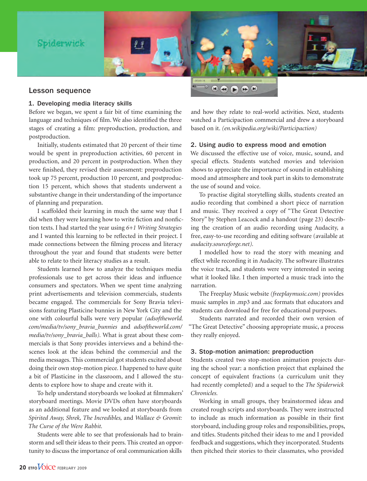

#### 1. Developing media literacy skills

Before we began, we spent a fair bit of time examining the language and techniques of film. We also identified the three stages of creating a film: preproduction, production, and postproduction.

Initially, students estimated that 20 percent of their time would be spent in preproduction activities, 60 percent in production, and 20 percent in postproduction. When they were finished, they revised their assessment: preproduction took up 75 percent, production 10 percent, and postproduction 15 percent, which shows that students underwent a substantive change in their understanding of the importance of planning and preparation.

I scaffolded their learning in much the same way that I did when they were learning how to write fiction and nonfiction texts. I had started the year using *6+1 Writing Strategies*  and I wanted this learning to be reflected in their project. I made connections between the filming process and literacy throughout the year and found that students were better able to relate to their literacy studies as a result.

Students learned how to analyze the techniques media professionals use to get across their ideas and influence consumers and spectators. When we spent time analyzing print advertisements and television commercials, students became engaged. The commercials for Sony Bravia televisions featuring Plasticine bunnies in New York City and the one with colourful balls were very popular *(adsoftheworld. com/media/tv/sony\_bravia\_bunnies* and *adsoftheworld.com/ media/tv/sony\_bravia\_balls).* What is great about these commercials is that Sony provides interviews and a behind-thescenes look at the ideas behind the commercial and the media messages. This commercial got students excited about doing their own stop-motion piece. I happened to have quite a bit of Plasticine in the classroom, and I allowed the students to explore how to shape and create with it.

To help understand storyboards we looked at filmmakers' storyboard meetings. Movie DVDs often have storyboards as an additional feature and we looked at storyboards from *Spirited Away, Shrek, The Incredibles,* and *Wallace & Gromit: The Curse of the Were Rabbit.* 

Students were able to see that professionals had to brainstorm and sell their ideas to their peers. This created an opportunity to discuss the importance of oral communication skills

and how they relate to real-world activities. Next, students watched a Participaction commercial and drew a storyboard based on it. *(en.wikipedia.org/wiki/Participaction)*

#### 2. Using audio to express mood and emotion

We discussed the effective use of voice, music, sound, and special effects. Students watched movies and television shows to appreciate the importance of sound in establishing mood and atmosphere and took part in skits to demonstrate the use of sound and voice.

To practise digital storytelling skills, students created an audio recording that combined a short piece of narration and music. They received a copy of "The Great Detective Story" by Stephen Leacock and a handout (page 23) describing the creation of an audio recording using Audacity, a free, easy-to-use recording and editing software (available at *audacity.sourceforge.net).*

I modelled how to read the story with meaning and effect while recording it in Audacity. The software illustrates the voice track, and students were very interested in seeing what it looked like. I then imported a music track into the narration.

The Freeplay Music website *(freeplaymusic.com)* provides music samples in .mp3 and .aac formats that educators and students can download for free for educational purposes.

Students narrated and recorded their own version of "The Great Detective" choosing appropriate music, a process they really enjoyed.

#### 3. Stop-motion animation: preproduction

Students created two stop-motion animation projects during the school year: a nonfiction project that explained the concept of equivalent fractions (a curriculum unit they had recently completed) and a sequel to the *The Spiderwick Chronicles.* 

Working in small groups, they brainstormed ideas and created rough scripts and storyboards. They were instructed to include as much information as possible in their first storyboard, including group roles and responsibilities, props, and titles. Students pitched their ideas to me and I provided feedback and suggestions, which they incorporated. Students then pitched their stories to their classmates, who provided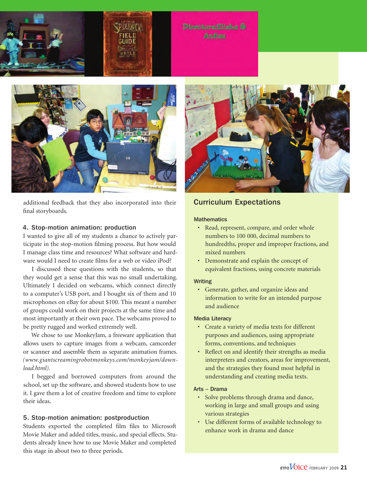



additional feedback that they also incorporated into their final storyboards.

#### 4. Stop-motion animation: production

I wanted to give all of my students a chance to actively participate in the stop-motion filming process. But how would I manage class time and resources? What software and hardware would I need to create films for a web or video iPod?

I discussed these questions with the students, so that they would get a sense that this was no small undertaking. Ultimately I decided on webcams, which connect directly to a computer's USB port, and I bought six of them and 10 microphones on eBay for about \$100. This meant a number of groups could work on their projects at the same time and most importantly at their own pace. The webcams proved to be pretty rugged and worked extremely well.

We chose to use MonkeyJam, a freeware application that allows users to capture images from a webcam, camcorder or scanner and assemble them as separate animation frames. *(www.giantscreamingrobotmonkeys.com/monkeyjam/download.html).*

I begged and borrowed computers from around the school, set up the software, and showed students how to use it. I gave them a lot of creative freedom and time to explore their ideas.

#### 5. Stop-motion animation: postproduction

Students exported the completed film files to Microsoft Movie Maker and added titles, music, and special effects. Students already knew how to use Movie Maker and completed this stage in about two to three periods.



# Curriculum Expectations

#### **Mathematics**

- Read, represent, compare, and order whole numbers to 100 000, decimal numbers to hundredths, proper and improper fractions, and mixed numbers
- • Demonstrate and explain the concept of equivalent fractions, using concrete materials

#### Writing

• Generate, gather, and organize ideas and information to write for an intended purpose and audience

#### Media Literacy

- • Create a variety of media texts for different purposes and audiences, using appropriate forms, conventions, and techniques
- Reflect on and identify their strengths as media interpreters and creators, areas for improvement, and the strategies they found most helpful in understanding and creating media texts.

#### Arts – Drama

- • Solve problems through drama and dance, working in large and small groups and using various strategies
- • Use different forms of available technology to enhance work in drama and dance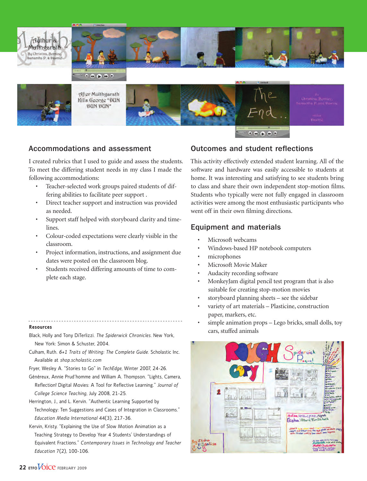



 $\begin{array}{c} \mathbf{A} & \mathbf{B} & \mathbf{B} & \mathbf{B} & \mathbf{B} \end{array}$ 



After Multhgarath **Rills George \*DUN** \*HDG RIDG



# Accommodations and assessment

I created rubrics that I used to guide and assess the students. To meet the differing student needs in my class I made the following accommodations:

- Teacher-selected work groups paired students of differing abilities to facilitate peer support .
- • Direct teacher support and instruction was provided as needed.
- • Support staff helped with storyboard clarity and timelines.
- Colour-coded expectations were clearly visible in the classroom.
- Project information, instructions, and assignment due dates were posted on the classroom blog.
- Students received differing amounts of time to complete each stage.

#### **Resources**

- Black, Holly and Tony DiTerlizzi. *The Spiderwick Chronicles.* New York, New York: Simon & Schuster, 2004.
- Culham, Ruth. *6+1 Traits of Writing: The Complete Guide.* Scholastic Inc. Available at *shop.scholastic.com*
- Fryer, Wesley A. "Stories to Go" in *TechEdge,* Winter 2007, 24-26.
- Généreux, Annie Prud´homme and William A. Thompson. "Lights, Camera, Reflection! Digital Movies: A Tool for Reflective Learning." *Journal of College Science Teaching,* July 2008, 21-25.
- Herrington, J., and L. Kervin. "Authentic Learning Supported by Technology: Ten Suggestions and Cases of Integration in Classrooms." *Education Media International* 44(3), 217-36.
- Kervin, Kristy. "Explaining the Use of Slow Motion Animation as a Teaching Strategy to Develop Year 4 Students' Understandings of Equivalent Fractions." *Contemporary Issues in Technology and Teacher Education* 7(2), 100-106.

# Outcomes and student reflections

This activity effectively extended student learning. All of the software and hardware was easily accessible to students at home. It was interesting and satisfying to see students bring to class and share their own independent stop-motion films. Students who typically were not fully engaged in classroom activities were among the most enthusiastic participants who went off in their own filming directions.

# Equipment and materials

- Microsoft webcams
- Windows-based HP notebook computers
- microphones
- Microsoft Movie Maker
- Audacity recording software
- MonkeyJam digital pencil test program that is also suitable for creating stop-motion movies
- storyboard planning sheets see the sidebar
- variety of art materials Plasticine, construction paper, markers, etc.
- simple animation props Lego bricks, small dolls, toy cars, stuffed animals

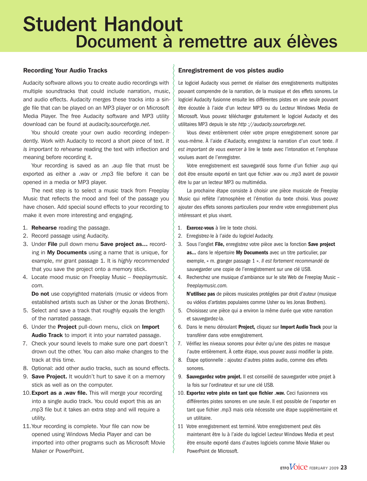# Student Handout Document à remettre aux élèves

#### Recording Your Audio Tracks

Audacity software allows you to create audio recordings with multiple soundtracks that could include narration, music, and audio effects. Audacity merges these tracks into a single file that can be played on an MP3 player or on Microsoft Media Player. The free Audacity software and MP3 utility download can be found at *audacity.sourceforge.net.*

You should create your own audio recording independently. Work with Audacity to record a short piece of text. *It is important to rehearse* reading the text with inflection and meaning before recording it.

Your recording is saved as an .aup file that must be exported as either a .wav or .mp3 file before it can be opened in a media or MP3 player.

The next step is to select a music track from Freeplay Music that reflects the mood and feel of the passage you have chosen. Add special sound effects to your recording to make it even more interesting and engaging.

- 1. **Rehearse** reading the passage.
- 2. Record passage using Audacity.
- 3. Under File pull down menu Save project as... recording in My Documents using a name that is unique, for example, mr grant passage 1. It is *highly recommended* that you save the project onto a memory stick.
- 4. Locate mood music on Freeplay Music – *freeplaymusic. com.*

Do not use copyrighted materials (music or videos from established artists such as Usher or the Jonas Brothers).

- 5. Select and save a track that roughly equals the length of the narrated passage.
- 6. Under the Project pull-down menu, click on Import Audio Track to import it into your narrated passage.
- 7. Check your sound levels to make sure one part doesn't drown out the other. You can also make changes to the track at this time.
- 8. Optional: add other audio tracks, such as sound effects.
- 9. **Save Project.** It wouldn't hurt to save it on a memory stick as well as on the computer.
- 10. Export as a .wav file. This will merge your recording into a single audio track. You could export this as an .mp3 file but it takes an extra step and will require a utility.
- 11.Your recording is complete. Your file can now be opened using Windows Media Player and can be imported into other programs such as Microsoft Movie Maker or PowerPoint.

## Enregistrement de vos pistes audio

Le logiciel Audacity vous permet de réaliser des enregistrements multipistes pouvant comprendre de la narration, de la musique et des effets sonores. Le logiciel Audacity fusionne ensuite les différentes pistes en une seule pouvant être écoutée à l'aide d'un lecteur MP3 ou du Lecteur Windows Media de Microsoft. Vous pouvez télécharger gratuitement le logiciel Audacity et des utilitaires MP3 depuis le site *http ://audacity.sourceforge.net.*

Vous devez entièrement créer votre propre enregistrement sonore par vous-même. À l'aide d'Audacity, enregistrez la narration d'un court texte. *Il est important de vous exercer à* lire le texte avec l'intonation et l'emphase voulues avant de l'enregistrer.

Votre enregistrement est sauvegardé sous forme d'un fichier .aup qui doit être ensuite exporté en tant que fichier .wav ou .mp3 avant de pouvoir être lu par un lecteur MP3 ou multimédia.

La prochaine étape consiste à choisir une pièce musicale de Freeplay Music qui reflète l'atmosphère et l'émotion du texte choisi. Vous pouvez ajouter des effets sonores particuliers pour rendre votre enregistrement plus intéressant et plus vivant.

- 1. Exercez-vous à lire le texte choisi.
- 2. Enregistrez-le à l'aide du logiciel Audacity.
- 3. Sous l'onglet File, enregistrez votre pièce avec la fonction Save project as... dans le répertoire My Documents avec un titre particulier, par exemple, « m. granger passage 1 ». *Il est fortement recommandé* de sauvegarder une copie de l'enregistrement sur une clé USB.
- 4. Recherchez une musique d'ambiance sur le site Web de Freeplay Music *freeplaymusic.com.*

N'utilisez pas de pièces musicales protégées par droit d'auteur (musique ou vidéos d'artistes populaires comme Usher ou les Jonas Brothers).

- 5. Choisissez une pièce qui a environ la même durée que votre narration et sauvegardez-la.
- 6. Dans le menu déroulant Project, cliquez sur Import Audio Track pour la transférer dans votre enregistrement.
- 7. Vérifiez les niveaux sonores pour éviter qu'une des pistes ne masque l'autre entièrement. À cette étape, vous pouvez aussi modifier la piste.
- 8. Étape optionnelle : ajoutez d'autres pistes audio, comme des effets sonores.
- 9. Sauvegardez votre projet. Il est conseillé de sauvegarder votre projet à la fois sur l'ordinateur et sur une clé USB.
- 10. Exportez votre piste en tant que fichier .wav. Ceci fusionnera vos différentes pistes sonores en une seule. Il est possible de l'exporter en tant que fichier .mp3 mais cela nécessite une étape supplémentaire et un utilitaire.
- 11 Votre enregistrement est terminé. Votre enregistrement peut dès maintenant être lu à l'aide du logiciel Lecteur Windows Media et peut être ensuite exporté dans d'autres logiciels comme Movie Maker ou PowerPoint de Microsoft.